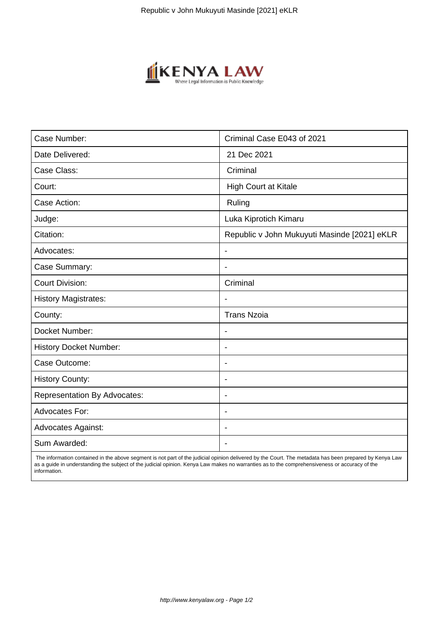

| Case Number:                        | Criminal Case E043 of 2021                   |
|-------------------------------------|----------------------------------------------|
| Date Delivered:                     | 21 Dec 2021                                  |
| Case Class:                         | Criminal                                     |
| Court:                              | High Court at Kitale                         |
| Case Action:                        | Ruling                                       |
| Judge:                              | Luka Kiprotich Kimaru                        |
| Citation:                           | Republic v John Mukuyuti Masinde [2021] eKLR |
| Advocates:                          | $\overline{\phantom{a}}$                     |
| Case Summary:                       | $\blacksquare$                               |
| <b>Court Division:</b>              | Criminal                                     |
| <b>History Magistrates:</b>         |                                              |
| County:                             | <b>Trans Nzoia</b>                           |
| Docket Number:                      |                                              |
| <b>History Docket Number:</b>       | $\overline{\phantom{0}}$                     |
| Case Outcome:                       | $\blacksquare$                               |
| <b>History County:</b>              | $\blacksquare$                               |
| <b>Representation By Advocates:</b> | $\overline{\phantom{a}}$                     |
| <b>Advocates For:</b>               | $\overline{\phantom{a}}$                     |
| <b>Advocates Against:</b>           | $\blacksquare$                               |
| Sum Awarded:                        |                                              |

 The information contained in the above segment is not part of the judicial opinion delivered by the Court. The metadata has been prepared by Kenya Law as a guide in understanding the subject of the judicial opinion. Kenya Law makes no warranties as to the comprehensiveness or accuracy of the information.